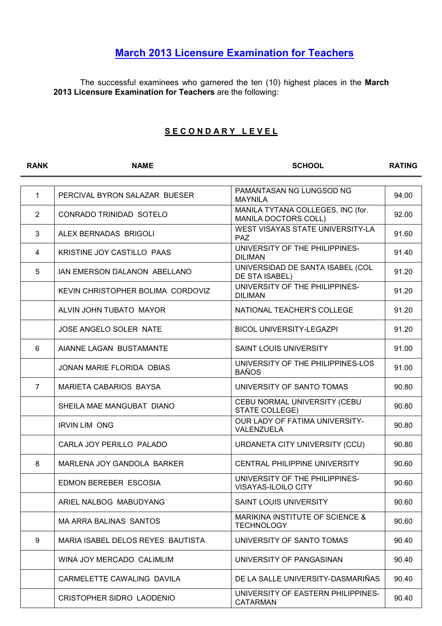## March 2013 Licensure Examination for Teachers

The successful examinees who garnered the ten (10) highest places in the March 2013 Licensure Examination for Teachers are the following:

## SECONDARY LEVEL

| <b>RANK</b>    | <b>NAME</b>                       | <b>SCHOOL</b>                                             | <b>RATING</b> |
|----------------|-----------------------------------|-----------------------------------------------------------|---------------|
|                |                                   |                                                           |               |
| $\mathbf{1}$   | PERCIVAL BYRON SALAZAR BUESER     | PAMANTASAN NG LUNGSOD NG<br><b>MAYNILA</b>                | 94.00         |
| 2              | CONRADO TRINIDAD SOTELO           | MANILA TYTANA COLLEGES, INC (for.<br>MANILA DOCTORS COLL) | 92.00         |
| 3              | ALEX BERNADAS BRIGOLI             | WEST VISAYAS STATE UNIVERSITY-LA<br><b>PAZ</b>            | 91.60         |
| 4              | KRISTINE JOY CASTILLO PAAS        | UNIVERSITY OF THE PHILIPPINES-<br><b>DILIMAN</b>          | 91.40         |
| 5              | IAN EMERSON DALANON ABELLANO      | UNIVERSIDAD DE SANTA ISABEL (COL<br>DE STA ISABEL)        | 91.20         |
|                | KEVIN CHRISTOPHER BOLIMA CORDOVIZ | UNIVERSITY OF THE PHILIPPINES-<br><b>DILIMAN</b>          | 91.20         |
|                | ALVIN JOHN TUBATO MAYOR           | NATIONAL TEACHER'S COLLEGE                                | 91.20         |
|                | JOSE ANGELO SOLER NATE            | <b>BICOL UNIVERSITY-LEGAZPI</b>                           | 91.20         |
| 6              | AIANNE LAGAN BUSTAMANTE           | <b>SAINT LOUIS UNIVERSITY</b>                             | 91.00         |
|                | JONAN MARIE FLORIDA OBIAS         | UNIVERSITY OF THE PHILIPPINES-LOS<br><b>BAÑOS</b>         | 91.00         |
| $\overline{7}$ | MARIETA CABARIOS BAYSA            | UNIVERSITY OF SANTO TOMAS                                 | 90.80         |
|                | SHEILA MAE MANGUBAT DIANO         | CEBU NORMAL UNIVERSITY (CEBU<br><b>STATE COLLEGE)</b>     | 90.80         |
|                | <b>IRVIN LIM ONG</b>              | OUR LADY OF FATIMA UNIVERSITY-<br>VALENZUELA              | 90.80         |
|                | CARLA JOY PERILLO PALADO          | URDANETA CITY UNIVERSITY (CCU)                            | 90.80         |
| 8              | MARLENA JOY GANDOLA BARKER        | <b>CENTRAL PHILIPPINE UNIVERSITY</b>                      | 90.60         |
|                | EDMON BEREBER ESCOSIA             | UNIVERSITY OF THE PHILIPPINES-<br>VISAYAS-ILOILO CITY     | 90.60         |
|                | ARIEL NALBOG MABUDYANG            | <b>SAINT LOUIS UNIVERSITY</b>                             | 90.60         |
|                | MA ARRA BALINAS SANTOS            | MARIKINA INSTITUTE OF SCIENCE &<br><b>TECHNOLOGY</b>      | 90.60         |
| 9              | MARIA ISABEL DELOS REYES BAUTISTA | UNIVERSITY OF SANTO TOMAS                                 | 90.40         |
|                | WINA JOY MERCADO CALIMLIM         | UNIVERSITY OF PANGASINAN                                  | 90.40         |
|                | CARMELETTE CAWALING DAVILA        | DE LA SALLE UNIVERSITY-DASMARIÑAS                         | 90.40         |
|                | <b>CRISTOPHER SIDRO LAODENIO</b>  | UNIVERSITY OF EASTERN PHILIPPINES-<br>CATARMAN            | 90.40         |